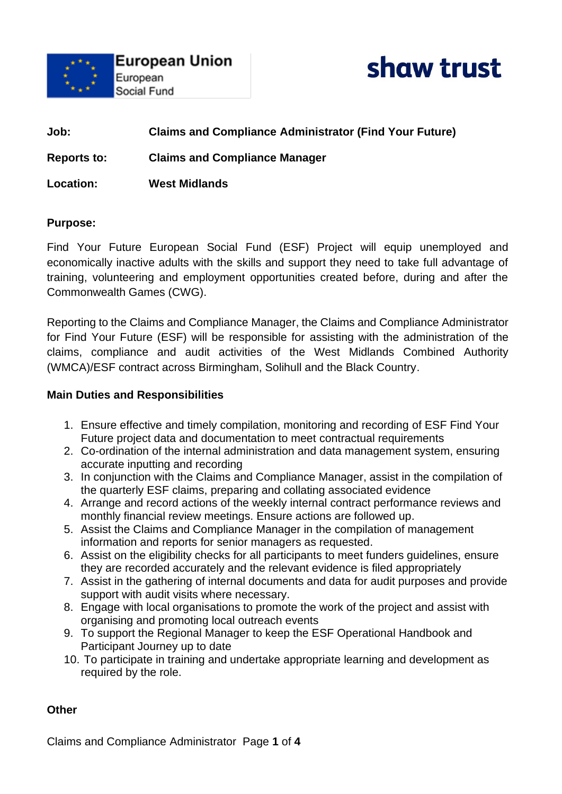



**Job: Claims and Compliance Administrator (Find Your Future) Reports to: Claims and Compliance Manager Location: West Midlands** 

#### **Purpose:**

Find Your Future European Social Fund (ESF) Project will equip unemployed and economically inactive adults with the skills and support they need to take full advantage of training, volunteering and employment opportunities created before, during and after the Commonwealth Games (CWG).

Reporting to the Claims and Compliance Manager, the Claims and Compliance Administrator for Find Your Future (ESF) will be responsible for assisting with the administration of the claims, compliance and audit activities of the West Midlands Combined Authority (WMCA)/ESF contract across Birmingham, Solihull and the Black Country.

#### **Main Duties and Responsibilities**

- 1. Ensure effective and timely compilation, monitoring and recording of ESF Find Your Future project data and documentation to meet contractual requirements
- 2. Co-ordination of the internal administration and data management system, ensuring accurate inputting and recording
- 3. In conjunction with the Claims and Compliance Manager, assist in the compilation of the quarterly ESF claims, preparing and collating associated evidence
- 4. Arrange and record actions of the weekly internal contract performance reviews and monthly financial review meetings. Ensure actions are followed up.
- 5. Assist the Claims and Compliance Manager in the compilation of management information and reports for senior managers as requested.
- 6. Assist on the eligibility checks for all participants to meet funders guidelines, ensure they are recorded accurately and the relevant evidence is filed appropriately
- 7. Assist in the gathering of internal documents and data for audit purposes and provide support with audit visits where necessary.
- 8. Engage with local organisations to promote the work of the project and assist with organising and promoting local outreach events
- 9. To support the Regional Manager to keep the ESF Operational Handbook and Participant Journey up to date
- 10. To participate in training and undertake appropriate learning and development as required by the role.

#### **Other**

Claims and Compliance Administrator Page **1** of **4**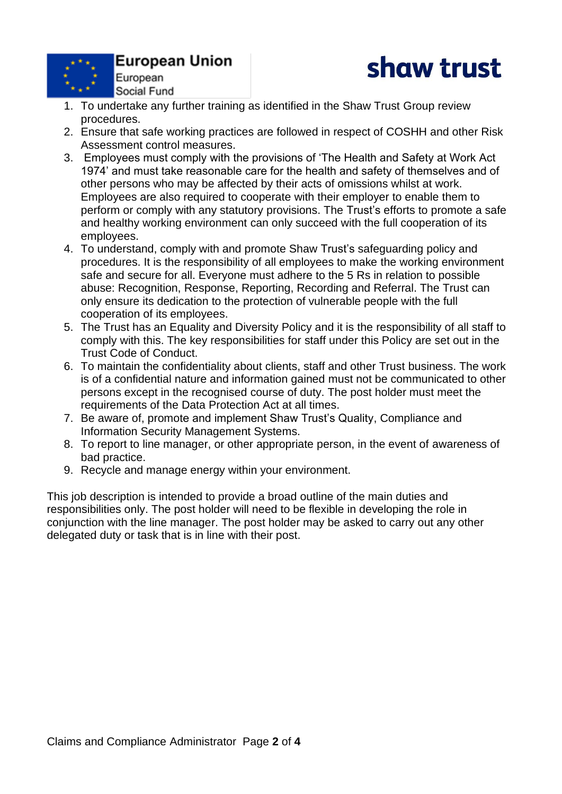

# **European Union**



- Social Fund 1. To undertake any further training as identified in the Shaw Trust Group review procedures.
- 2. Ensure that safe working practices are followed in respect of COSHH and other Risk Assessment control measures.
- 3. Employees must comply with the provisions of 'The Health and Safety at Work Act 1974' and must take reasonable care for the health and safety of themselves and of other persons who may be affected by their acts of omissions whilst at work. Employees are also required to cooperate with their employer to enable them to perform or comply with any statutory provisions. The Trust's efforts to promote a safe and healthy working environment can only succeed with the full cooperation of its employees.
- 4. To understand, comply with and promote Shaw Trust's safeguarding policy and procedures. It is the responsibility of all employees to make the working environment safe and secure for all. Everyone must adhere to the 5 Rs in relation to possible abuse: Recognition, Response, Reporting, Recording and Referral. The Trust can only ensure its dedication to the protection of vulnerable people with the full cooperation of its employees.
- 5. The Trust has an Equality and Diversity Policy and it is the responsibility of all staff to comply with this. The key responsibilities for staff under this Policy are set out in the Trust Code of Conduct.
- 6. To maintain the confidentiality about clients, staff and other Trust business. The work is of a confidential nature and information gained must not be communicated to other persons except in the recognised course of duty. The post holder must meet the requirements of the Data Protection Act at all times.
- 7. Be aware of, promote and implement Shaw Trust's Quality, Compliance and Information Security Management Systems.
- 8. To report to line manager, or other appropriate person, in the event of awareness of bad practice.
- 9. Recycle and manage energy within your environment.

This job description is intended to provide a broad outline of the main duties and responsibilities only. The post holder will need to be flexible in developing the role in conjunction with the line manager. The post holder may be asked to carry out any other delegated duty or task that is in line with their post.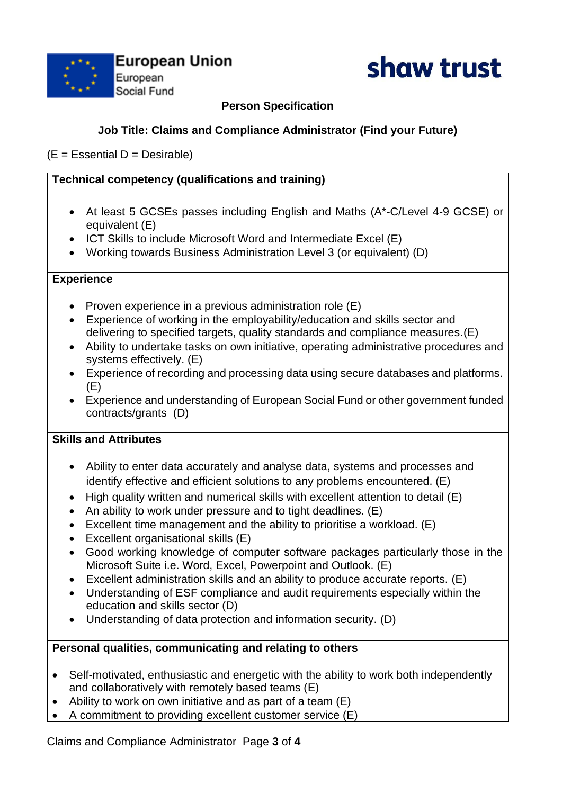



# **Person Specification**

## **Job Title: Claims and Compliance Administrator (Find your Future)**

 $(E = E$ ssential D = Desirable)

## **Technical competency (qualifications and training)**

- At least 5 GCSEs passes including English and Maths (A\*-C/Level 4-9 GCSE) or equivalent (E)
- ICT Skills to include Microsoft Word and Intermediate Excel (E)
- Working towards Business Administration Level 3 (or equivalent) (D)

## **Experience**

- Proven experience in a previous administration role (E)
- Experience of working in the employability/education and skills sector and delivering to specified targets, quality standards and compliance measures.(E)
- Ability to undertake tasks on own initiative, operating administrative procedures and systems effectively. (E)
- Experience of recording and processing data using secure databases and platforms.  $(E)$
- Experience and understanding of European Social Fund or other government funded contracts/grants (D)

# **Skills and Attributes**

- Ability to enter data accurately and analyse data, systems and processes and identify effective and efficient solutions to any problems encountered. (E)
- High quality written and numerical skills with excellent attention to detail (E)
- An ability to work under pressure and to tight deadlines. (E)
- Excellent time management and the ability to prioritise a workload. (E)
- Excellent organisational skills (E)
- Good working knowledge of computer software packages particularly those in the Microsoft Suite i.e. Word, Excel, Powerpoint and Outlook. (E)
- Excellent administration skills and an ability to produce accurate reports. (E)
- Understanding of ESF compliance and audit requirements especially within the education and skills sector (D)
- Understanding of data protection and information security. (D)

## **Personal qualities, communicating and relating to others**

- Self-motivated, enthusiastic and energetic with the ability to work both independently and collaboratively with remotely based teams (E)
- Ability to work on own initiative and as part of a team (E)
- A commitment to providing excellent customer service (E)

Claims and Compliance Administrator Page **3** of **4**